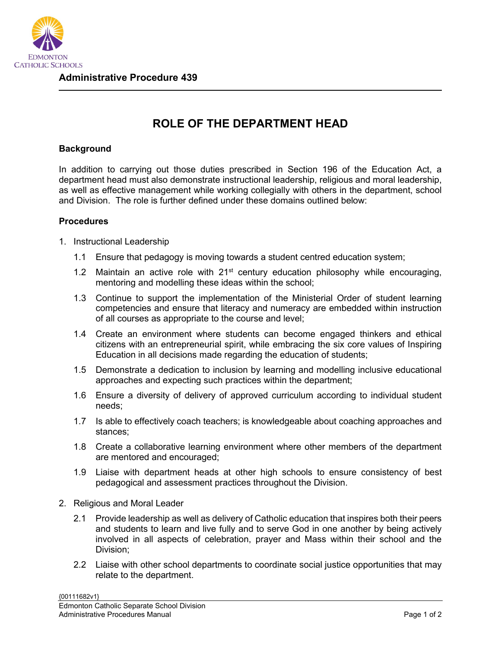

## **ROLE OF THE DEPARTMENT HEAD**

## **Background**

In addition to carrying out those duties prescribed in Section 196 of the Education Act, a department head must also demonstrate instructional leadership, religious and moral leadership, as well as effective management while working collegially with others in the department, school and Division. The role is further defined under these domains outlined below:

## **Procedures**

- 1. Instructional Leadership
	- 1.1 Ensure that pedagogy is moving towards a student centred education system;
	- 1.2 Maintain an active role with  $21<sup>st</sup>$  century education philosophy while encouraging, mentoring and modelling these ideas within the school;
	- 1.3 Continue to support the implementation of the Ministerial Order of student learning competencies and ensure that literacy and numeracy are embedded within instruction of all courses as appropriate to the course and level;
	- 1.4 Create an environment where students can become engaged thinkers and ethical citizens with an entrepreneurial spirit, while embracing the six core values of Inspiring Education in all decisions made regarding the education of students;
	- 1.5 Demonstrate a dedication to inclusion by learning and modelling inclusive educational approaches and expecting such practices within the department;
	- 1.6 Ensure a diversity of delivery of approved curriculum according to individual student needs;
	- 1.7 Is able to effectively coach teachers; is knowledgeable about coaching approaches and stances;
	- 1.8 Create a collaborative learning environment where other members of the department are mentored and encouraged;
	- 1.9 Liaise with department heads at other high schools to ensure consistency of best pedagogical and assessment practices throughout the Division.
- 2. Religious and Moral Leader
	- 2.1 Provide leadership as well as delivery of Catholic education that inspires both their peers and students to learn and live fully and to serve God in one another by being actively involved in all aspects of celebration, prayer and Mass within their school and the Division;
	- 2.2 Liaise with other school departments to coordinate social justice opportunities that may relate to the department.